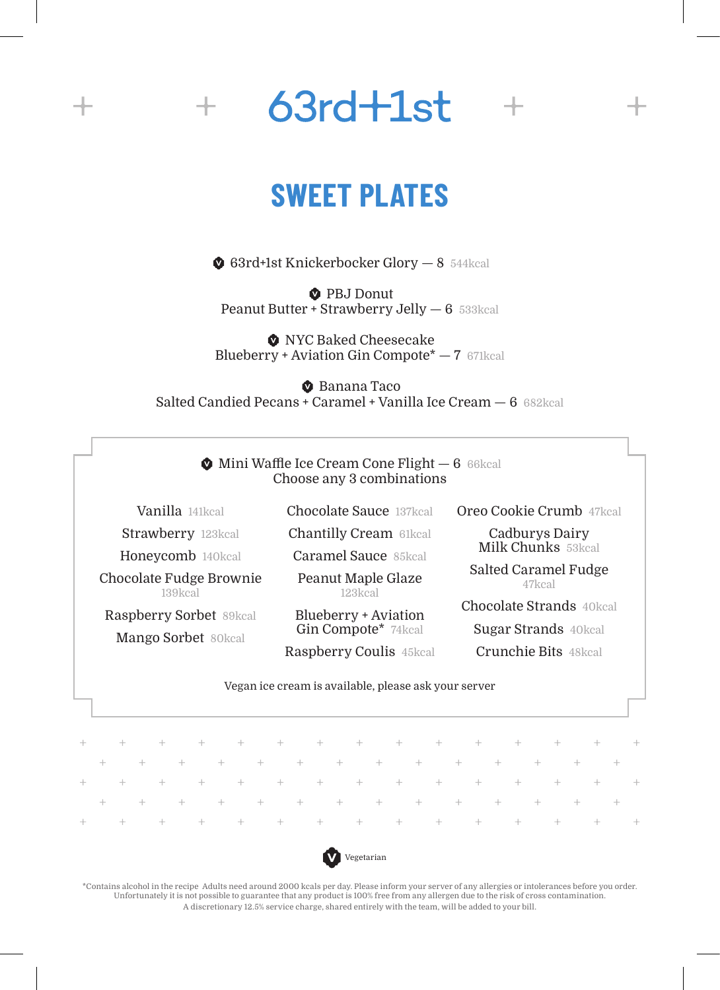

#### **SWEET PLATES**

63rd+1st Knickerbocker Glory — 8 544kcal

**D** PBJ Donut Peanut Butter + Strawberry Jelly - 6 533kcal

**O** NYC Baked Cheesecake Blueberry + Aviation Gin Compote\* — 7 671kcal

**C** Banana Taco Salted Candied Pecans + Caramel + Vanilla Ice Cream — 6 682kcal

> $\bullet$  Mini Waffle Ice Cream Cone Flight  $-6$  66kcal Choose any 3 combinations

Vanilla 141kcal Strawberry 123kcal Chocolate Sauce 137kcal Chantilly Cream 61kcal

Honeycomb 140kcal Caramel Sauce 85kcal

Chocolate Fudge Brownie 139kcal

Raspberry Sorbet 89kcal Mango Sorbet 80kcal

Peanut Maple Glaze 123kcal

Blueberry + Aviation Gin Compote\* 74kcal Raspberry Coulis 45kcal Oreo Cookie Crumb 47kcal

Cadburys Dairy Milk Chunks 53kcal

Salted Caramel Fudge 47kcal

Chocolate Strands 40kcal

Sugar Strands 40kcal

Crunchie Bits 48kcal

#### Vegan ice cream is available, please ask your server

|  |  |  |  |  |  |  |  |  |  |  |  |  | + + + + + + + + + + + + + + + + + + +                                                                                                                                                                                                                                                                                                                                                                  |  |
|--|--|--|--|--|--|--|--|--|--|--|--|--|--------------------------------------------------------------------------------------------------------------------------------------------------------------------------------------------------------------------------------------------------------------------------------------------------------------------------------------------------------------------------------------------------------|--|
|  |  |  |  |  |  |  |  |  |  |  |  |  | $\frac{1}{2} \left( \frac{1}{2} + \frac{1}{2} + \frac{1}{2} + \frac{1}{2} + \frac{1}{2} + \frac{1}{2} + \frac{1}{2} + \frac{1}{2} + \frac{1}{2} + \frac{1}{2} + \frac{1}{2} + \frac{1}{2} + \frac{1}{2} + \frac{1}{2} + \frac{1}{2} + \frac{1}{2} + \frac{1}{2} + \frac{1}{2} + \frac{1}{2} + \frac{1}{2} + \frac{1}{2} + \frac{1}{2} + \frac{1}{2} + \frac{1}{2} + \frac{1}{2} + \frac{1}{2} + \frac$ |  |
|  |  |  |  |  |  |  |  |  |  |  |  |  | + + + + + + + + + + + + + + + + + + + +                                                                                                                                                                                                                                                                                                                                                                |  |
|  |  |  |  |  |  |  |  |  |  |  |  |  |                                                                                                                                                                                                                                                                                                                                                                                                        |  |
|  |  |  |  |  |  |  |  |  |  |  |  |  |                                                                                                                                                                                                                                                                                                                                                                                                        |  |



\*Contains alcohol in the recipe Adults need around 2000 kcals per day. Please inform your server of any allergies or intolerances before you order. Unfortunately it is not possible to guarantee that any product is 100% free from any allergen due to the risk of cross contamination. A discretionary 12.5% service charge, shared entirely with the team, will be added to your bill.